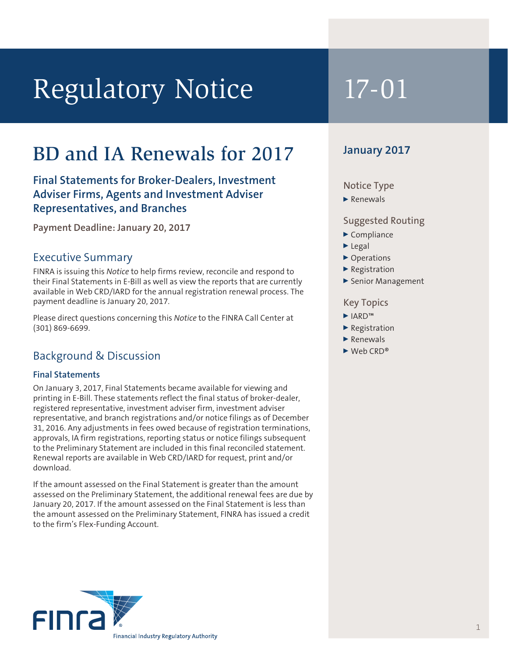# Regulatory Notice 17-01

## BD and IA Renewals for 2017

#### **Final Statements for Broker-Dealers, Investment Adviser Firms, Agents and Investment Adviser Representatives, and Branches**

**Payment Deadline: January 20, 2017**

#### Executive Summary

FINRA is issuing this *Notice* to help firms review, reconcile and respond to their Final Statements in E-Bill as well as view the reports that are currently available in Web CRD/IARD for the annual registration renewal process. The payment deadline is January 20, 2017.

Please direct questions concerning this *Notice* to the FINRA Call Center at (301) 869-6699.

#### Background & Discussion

#### **Final Statements**

On January 3, 2017, Final Statements became available for viewing and printing in E-Bill. These statements reflect the final status of broker-dealer, registered representative, investment adviser firm, investment adviser representative, and branch registrations and/or notice filings as of December 31, 2016. Any adjustments in fees owed because of registration terminations, approvals, IA firm registrations, reporting status or notice filings subsequent to the Preliminary Statement are included in this final reconciled statement. Renewal reports are available in Web CRD/IARD for request, print and/or download.

If the amount assessed on the Final Statement is greater than the amount assessed on the Preliminary Statement, the additional renewal fees are due by January 20, 2017. If the amount assessed on the Final Statement is less than the amount assessed on the Preliminary Statement, FINRA has issued a credit to the firm's Flex-Funding Account.



#### **January 2017**

#### Notice Type

#### $\blacktriangleright$  Renewals

#### Suggested Routing

- $\blacktriangleright$  Compliance
- $\blacktriangleright$  Legal
- ▶ Operations
- $\blacktriangleright$  Registration
- Senior Management

#### Key Topics

- <sup>0</sup> IARD™
- $\blacktriangleright$  Registration
- $\blacktriangleright$  Renewals
- $Weh$  CRD®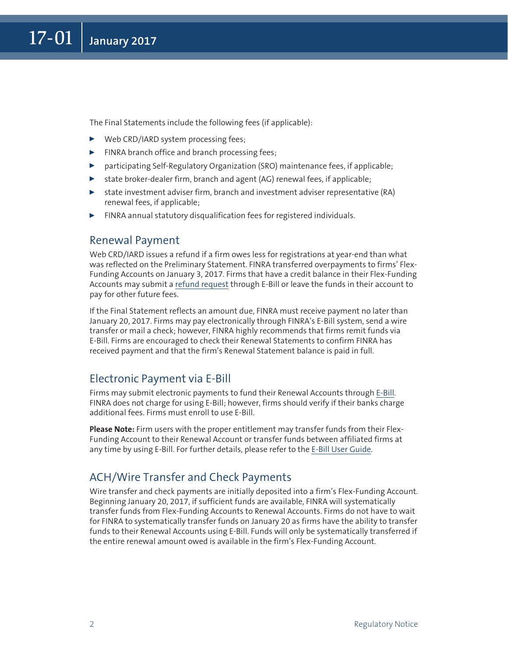The Final Statements include the following fees (if applicable):

- ▶ Web CRD/IARD system processing fees;
- $\blacktriangleright$  FINRA branch office and branch processing fees;
- participating Self-Regulatory Organization (SRO) maintenance fees, if applicable;
- $\triangleright$  state broker-dealer firm, branch and agent (AG) renewal fees, if applicable;
- $\triangleright$  state investment adviser firm, branch and investment adviser representative (RA) renewal fees, if applicable;
- $\blacktriangleright$  FINRA annual statutory disqualification fees for registered individuals.

#### Renewal Payment

Web CRD/IARD issues a refund if a firm owes less for registrations at year-end than what was reflected on the Preliminary Statement. FINRA transferred overpayments to firms' Flex-Funding Accounts on January 3, 2017. Firms that have a credit balance in their Flex-Funding Accounts may submit a [refund request](http://www.finra.org/industry/web-crd/flex-funding-account-refund-requests) through E-Bill or leave the funds in their account to pay for other future fees.

If the Final Statement reflects an amount due, FINRA must receive payment no later than January 20, 2017. Firms may pay electronically through FINRA's E-Bill system, send a wire transfer or mail a check; however, FINRA highly recommends that firms remit funds via E-Bill. Firms are encouraged to check their Renewal Statements to confirm FINRA has received payment and that the firm's Renewal Statement balance is paid in full.

#### Electronic Payment via E-Bill

Firms may submit electronic payments to fund their Renewal Accounts through [E-Bill](http://www.finra.org/industry/ebill/). FINRA does not charge for using E-Bill; however, firms should verify if their banks charge additional fees. Firms must enroll to use E-Bill.

**Please Note:** Firm users with the proper entitlement may transfer funds from their Flex-Funding Account to their Renewal Account or transfer funds between affiliated firms at any time by using E-Bill. For further details, please refer to the [E-Bill User Guide](http://www.finra.org/industry/e-bill-user-guide).

#### ACH/Wire Transfer and Check Payments

Wire transfer and check payments are initially deposited into a firm's Flex-Funding Account. Beginning January 20, 2017, if sufficient funds are available, FINRA will systematically transfer funds from Flex-Funding Accounts to Renewal Accounts. Firms do not have to wait for FINRA to systematically transfer funds on January 20 as firms have the ability to transfer funds to their Renewal Accounts using E-Bill. Funds will only be systematically transferred if the entire renewal amount owed is available in the firm's Flex-Funding Account.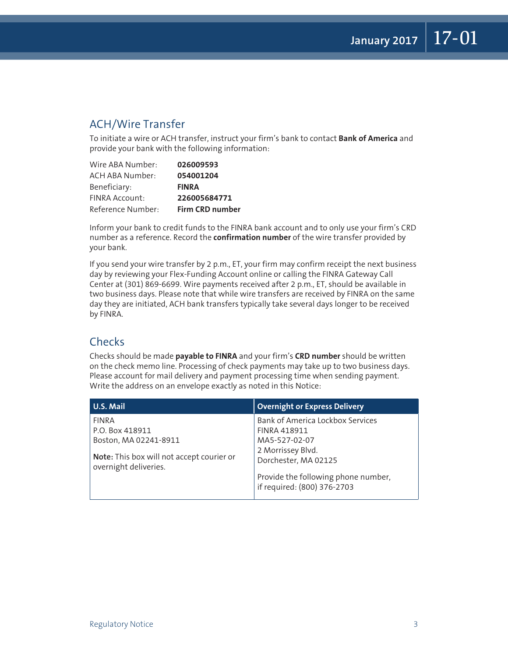### ACH/Wire Transfer

To initiate a wire or ACH transfer, instruct your firm's bank to contact **Bank of America** and provide your bank with the following information:

| Wire ABA Number:       | 026009593       |
|------------------------|-----------------|
| <b>ACH ABA Number:</b> | 054001204       |
| Beneficiary:           | <b>FINRA</b>    |
| FINRA Account:         | 226005684771    |
| Reference Number:      | Firm CRD number |

Inform your bank to credit funds to the FINRA bank account and to only use your firm's CRD number as a reference. Record the **confirmation number** of the wire transfer provided by your bank.

If you send your wire transfer by 2 p.m., ET, your firm may confirm receipt the next business day by reviewing your Flex-Funding Account online or calling the FINRA Gateway Call Center at (301) 869-6699. Wire payments received after 2 p.m., ET, should be available in two business days. Please note that while wire transfers are received by FINRA on the same day they are initiated, ACH bank transfers typically take several days longer to be received by FINRA.

#### **Checks**

Checks should be made **payable to FINRA** and your firm's **CRD number** should be written on the check memo line. Processing of check payments may take up to two business days. Please account for mail delivery and payment processing time when sending payment. Write the address on an envelope exactly as noted in this Notice:

| U.S. Mail                                                          | <b>Overnight or Express Delivery</b>                               |
|--------------------------------------------------------------------|--------------------------------------------------------------------|
| <b>FINRA</b>                                                       | Bank of America Lockbox Services                                   |
| P.O. Box 418911                                                    | <b>FINRA 418911</b>                                                |
| Boston, MA 02241-8911                                              | MA5-527-02-07                                                      |
| Note: This box will not accept courier or<br>overnight deliveries. | 2 Morrissey Blvd.<br>Dorchester, MA 02125                          |
|                                                                    | Provide the following phone number,<br>if required: (800) 376-2703 |